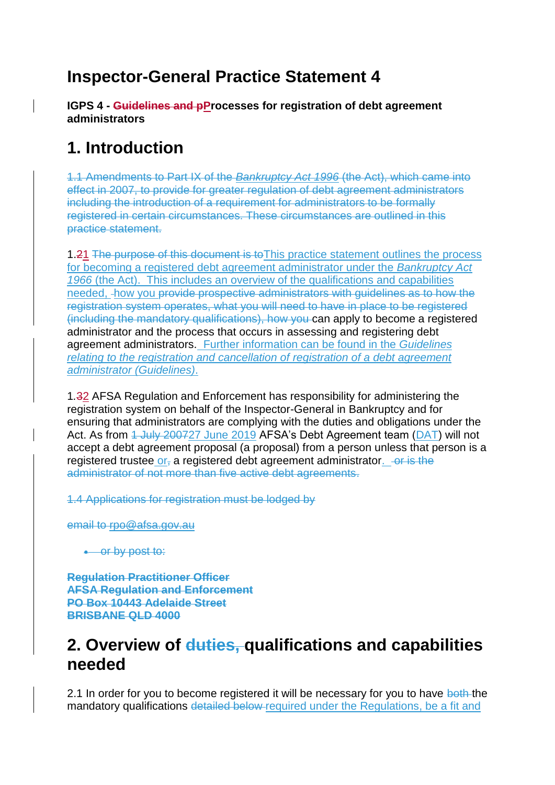## **Inspector-General Practice Statement 4**

**IGPS 4 - Guidelines and pProcesses for registration of debt agreement administrators** 

## **1. Introduction**

1.1 Amendments to Part IX of the *Bankruptcy Act 1996* (the Act), which came into effect in 2007, to provide for greater regulation of debt agreement administrators including the introduction of a requirement for administrators to be formally registered in certain circumstances. These circumstances are outlined in this practice statement.

1.21 The purpose of this document is to This practice statement outlines the process for becoming a registered debt agreement administrator under the *Bankruptcy Act 1966* (the Act). This includes an overview of the qualifications and capabilities needed, how you provide prospective administrators with guidelines as to how the registration system operates, what you will need to have in place to be registered (including the mandatory qualifications), how you can apply to become a registered administrator and the process that occurs in assessing and registering debt agreement administrators. Further information can be found in the *Guidelines relating to the registration and cancellation of registration of a debt agreement administrator (Guidelines)*.

1*.*32 AFSA Regulation and Enforcement has responsibility for administering the registration system on behalf of the Inspector-General in Bankruptcy and for ensuring that administrators are complying with the duties and obligations under the Act. As from 4 July 200727 June 2019 AFSA's Debt Agreement team (DAT) will not accept a debt agreement proposal (a proposal) from a person unless that person is a registered trustee or, a registered debt agreement administrator.  $-$ or is the administrator of not more than five active debt agreements.

1.4 Applications for registration must be lodged by

email to rpo@afsa.gov.au

• or by post to:

**Regulation Practitioner Officer AFSA Regulation and Enforcement PO Box 10443 Adelaide Street BRISBANE QLD 4000**

### **2. Overview of duties, qualifications and capabilities needed**

2.1 In order for you to become registered it will be necessary for you to have both the mandatory qualifications detailed below-required under the Regulations, be a fit and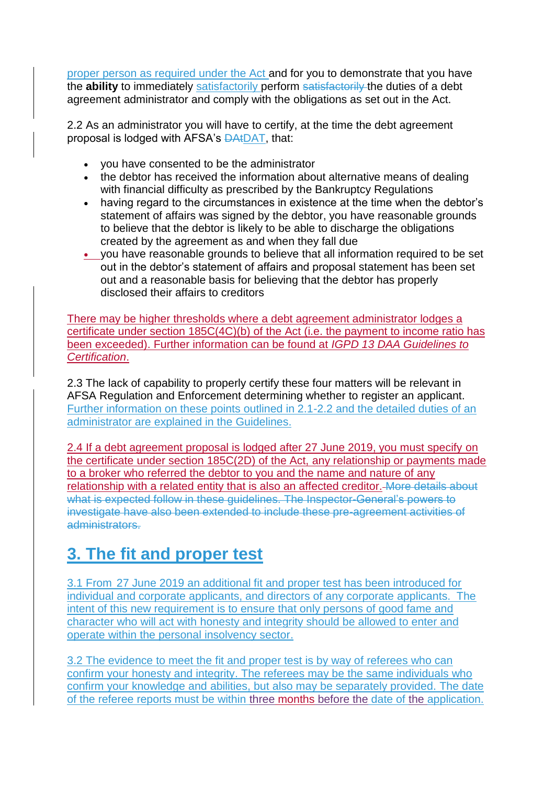proper person as required under the Act and for you to demonstrate that you have the **ability** to immediately satisfactorily perform satisfactorily the duties of a debt agreement administrator and comply with the obligations as set out in the Act.

2.2 As an administrator you will have to certify, at the time the debt agreement proposal is lodged with AFSA's DAtDAT, that:

- you have consented to be the administrator
- the debtor has received the information about alternative means of dealing with financial difficulty as prescribed by the Bankruptcy Regulations
- having regard to the circumstances in existence at the time when the debtor's statement of affairs was signed by the debtor, you have reasonable grounds to believe that the debtor is likely to be able to discharge the obligations created by the agreement as and when they fall due
- you have reasonable grounds to believe that all information required to be set out in the debtor's statement of affairs and proposal statement has been set out and a reasonable basis for believing that the debtor has properly disclosed their affairs to creditors

There may be higher thresholds where a debt agreement administrator lodges a certificate under section 185C(4C)(b) of the Act (i.e. the payment to income ratio has been exceeded). Further information can be found at *IGPD 13 DAA Guidelines to Certification*.

2.3 The lack of capability to properly certify these four matters will be relevant in AFSA Regulation and Enforcement determining whether to register an applicant. Further information on these points outlined in 2.1-2.2 and the detailed duties of an administrator are explained in the Guidelines.

2.4 If a debt agreement proposal is lodged after 27 June 2019, you must specify on the certificate under section 185C(2D) of the Act, any relationship or payments made to a broker who referred the debtor to you and the name and nature of any relationship with a related entity that is also an affected creditor. More details about what is expected follow in these guidelines. The Inspector-General's powers to investigate have also been extended to include these pre-agreement activities of administrators.

# **3. The fit and proper test**

3.1 From 27 June 2019 an additional fit and proper test has been introduced for individual and corporate applicants, and directors of any corporate applicants. The intent of this new requirement is to ensure that only persons of good fame and character who will act with honesty and integrity should be allowed to enter and operate within the personal insolvency sector.

3.2 The evidence to meet the fit and proper test is by way of referees who can confirm your honesty and integrity. The referees may be the same individuals who confirm your knowledge and abilities, but also may be separately provided. The date of the referee reports must be within three months before the date of the application.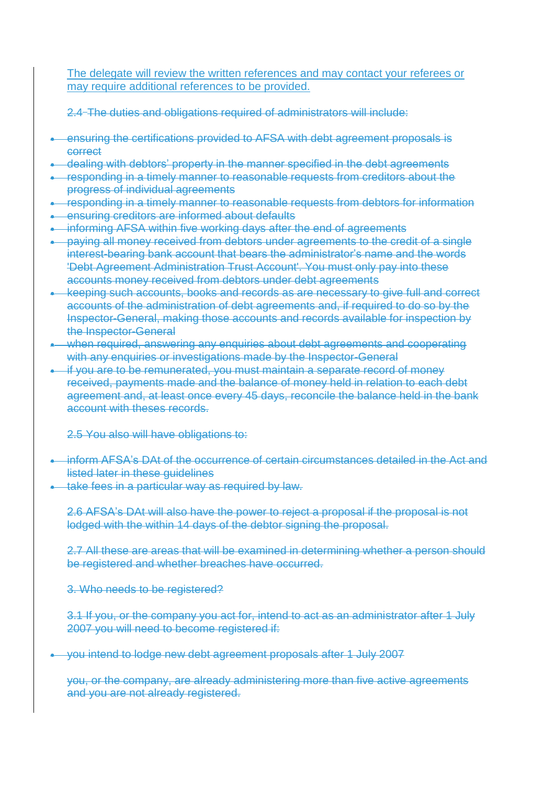The delegate will review the written references and may contact your referees or may require additional references to be provided.

2.4 The duties and obligations required of administrators will include:

- ensuring the certifications provided to AFSA with debt agreement proposals is correct
- **.** dealing with debtors' property in the manner specified in the debt agreements
- responding in a timely manner to reasonable requests from creditors about the progress of individual agreements
- **•** responding in a timely manner to reasonable requests from debtors for information
- **EXERGIVER AT ADDET ensuring creditors are informed about defaults**
- **•** informing AFSA within five working days after the end of agreements
- **•** paying all money received from debtors under agreements to the credit of a single interest-bearing bank account that bears the administrator's name and the words 'Debt Agreement Administration Trust Account'. You must only pay into these accounts money received from debtors under debt agreements
- keeping such accounts, books and records as are necessary to give full and correct accounts of the administration of debt agreements and, if required to do so by the Inspector-General, making those accounts and records available for inspection by the Inspector-General
- when required, answering any enquiries about debt agreements and cooperating with any enquiries or investigations made by the Inspector-General
- if you are to be remunerated, you must maintain a separate record of money received, payments made and the balance of money held in relation to each debt agreement and, at least once every 45 days, reconcile the balance held in the bank account with theses records.

2.5 You also will have obligations to:

- inform AFSA's DAt of the occurrence of certain circumstances detailed in the Act and listed later in these quidelines
- take fees in a particular way as required by law.

2.6 AFSA's DAt will also have the power to reject a proposal if the proposal is not lodged with the within 14 days of the debtor signing the proposal.

2.7 All these are areas that will be examined in determining whether a person should be registered and whether breaches have occurred.

3. Who needs to be registered?

3.1 If you, or the company you act for, intend to act as an administrator after 1 July 2007 you will need to become registered if:

you intend to lodge new debt agreement proposals after 1 July 2007

you, or the company, are already administering more than five active agreements and you are not already registered.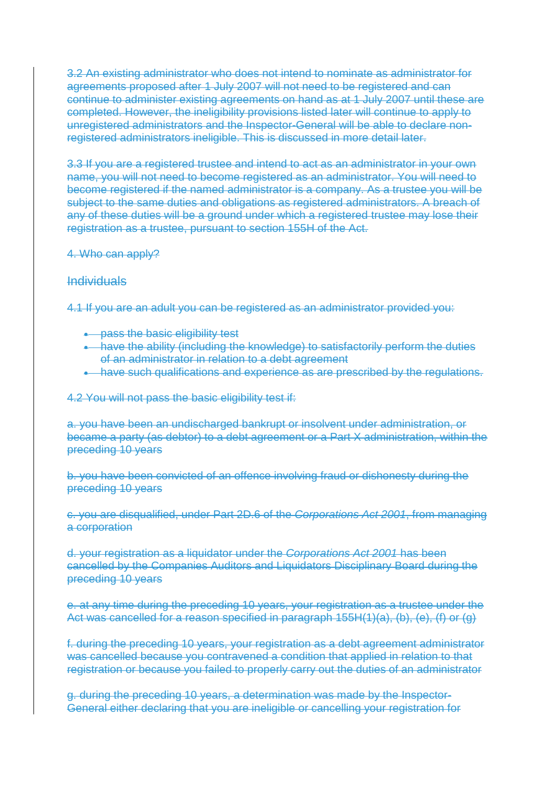3.2 An existing administrator who does not intend to nominate as administrator for agreements proposed after 1 July 2007 will not need to be registered and can continue to administer existing agreements on hand as at 1 July 2007 until these are completed. However, the ineligibility provisions listed later will continue to apply to unregistered administrators and the Inspector-General will be able to declare nonregistered administrators ineligible. This is discussed in more detail later.

3.3 If you are a registered trustee and intend to act as an administrator in your own name, you will not need to become registered as an administrator. You will need to become registered if the named administrator is a company. As a trustee you will be subject to the same duties and obligations as registered administrators. A breach of any of these duties will be a ground under which a registered trustee may lose their registration as a trustee, pursuant to section 155H of the Act.

#### 4. Who can apply?

#### Individuals

4.1 If you are an adult you can be registered as an administrator provided you:

- pass the basic eligibility test
- have the ability (including the knowledge) to satisfactorily perform the duties of an administrator in relation to a debt agreement
- **•** have such qualifications and experience as are prescribed by the regulations.

4.2 You will not pass the basic eligibility test if:

a. you have been an undischarged bankrupt or insolvent under administration, or became a party (as debtor) to a debt agreement or a Part X administration, within the preceding 10 years

b. you have been convicted of an offence involving fraud or dishonesty during the preceding 10 years

c. you are disqualified, under Part 2D.6 of the *Corporations Act 2001*, from managing a corporation

d. your registration as a liquidator under the *Corporations Act 2001* has been cancelled by the Companies Auditors and Liquidators Disciplinary Board during the preceding 10 years

e. at any time during the preceding 10 years, your registration as a trustee under the Act was cancelled for a reason specified in paragraph 155H(1)(a), (b), (e), (f) or (g)

f. during the preceding 10 years, your registration as a debt agreement administrator was cancelled because you contravened a condition that applied in relation to that registration or because you failed to properly carry out the duties of an administrator

g. during the preceding 10 years, a determination was made by the Inspector-General either declaring that you are ineligible or cancelling your registration for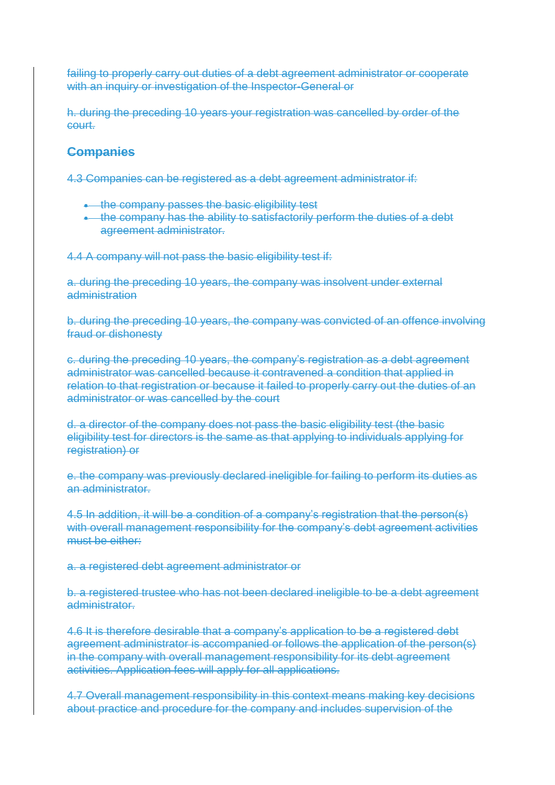failing to properly carry out duties of a debt agreement administrator or cooperate with an inquiry or investigation of the Inspector-General or

h. during the preceding 10 years your registration was cancelled by order of the court.

#### **Companies**

4.3 Companies can be registered as a debt agreement administrator if:

- **the company passes the basic eligibility test**
- . the company has the ability to satisfactorily perform the duties of a debt agreement administrator.

4.4 A company will not pass the basic eligibility test if:

a. during the preceding 10 years, the company was insolvent under external administration

b. during the preceding 10 years, the company was convicted of an offence involving fraud or dishonesty

c. during the preceding 10 years, the company's registration as a debt agreement administrator was cancelled because it contravened a condition that applied in relation to that registration or because it failed to properly carry out the duties of an administrator or was cancelled by the court

d. a director of the company does not pass the basic eligibility test (the basic eligibility test for directors is the same as that applying to individuals applying for registration) or

e. the company was previously declared ineligible for failing to perform its duties as an administrator.

4.5 In addition, it will be a condition of a company's registration that the person(s) with overall management responsibility for the company's debt agreement activities must be either:

a. a registered debt agreement administrator or

b. a registered trustee who has not been declared ineligible to be a debt agreement administrator.

4.6 It is therefore desirable that a company's application to be a registered debt agreement administrator is accompanied or follows the application of the person(s) in the company with overall management responsibility for its debt agreement activities. Application fees will apply for all applications.

4.7 Overall management responsibility in this context means making key decisions about practice and procedure for the company and includes supervision of the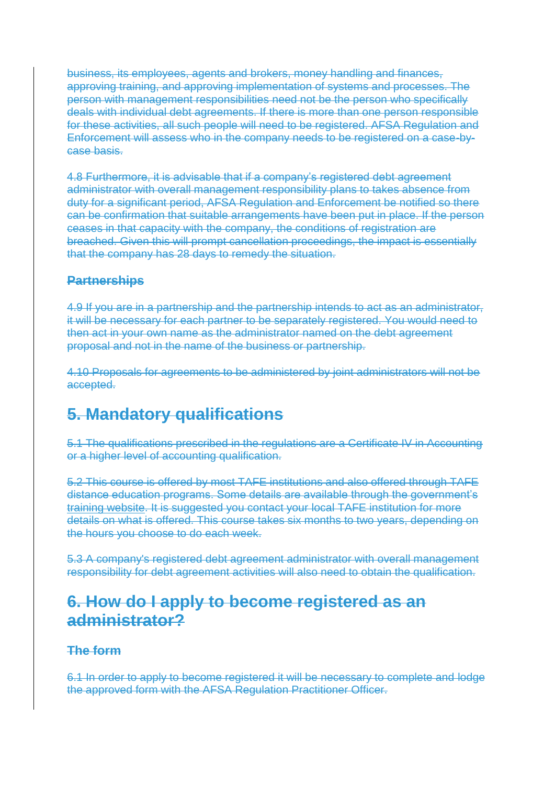business, its employees, agents and brokers, money handling and finances, approving training, and approving implementation of systems and processes. The person with management responsibilities need not be the person who specifically deals with individual debt agreements. If there is more than one person responsible for these activities, all such people will need to be registered. AFSA Regulation and Enforcement will assess who in the company needs to be registered on a case-bycase basis.

4.8 Furthermore, it is advisable that if a company's registered debt agreement administrator with overall management responsibility plans to takes absence from duty for a significant period, AFSA Regulation and Enforcement be notified so there can be confirmation that suitable arrangements have been put in place. If the person ceases in that capacity with the company, the conditions of registration are breached. Given this will prompt cancellation proceedings, the impact is essentially that the company has 28 days to remedy the situation.

### **Partnerships**

4.9 If you are in a partnership and the partnership intends to act as an administrator, it will be necessary for each partner to be separately registered. You would need to then act in your own name as the administrator named on the debt agreement proposal and not in the name of the business or partnership.

4.10 Proposals for agreements to be administered by joint administrators will not be accepted.

## **5. Mandatory qualifications**

5.1 The qualifications prescribed in the regulations are a Certificate IV in Accounting or a higher level of accounting qualification.

5.2 This course is offered by most TAFE institutions and also offered through TAFE distance education programs. Some details are available through the government's training website. It is suggested you contact your local TAFE institution for more details on what is offered. This course takes six months to two years, depending on the hours you choose to do each week.

5.3 A company's registered debt agreement administrator with overall management responsibility for debt agreement activities will also need to obtain the qualification.

### **6. How do I apply to become registered as an administrator?**

### **The form**

6.1 In order to apply to become registered it will be necessary to complete and lodge the approved form with the AFSA Regulation Practitioner Officer.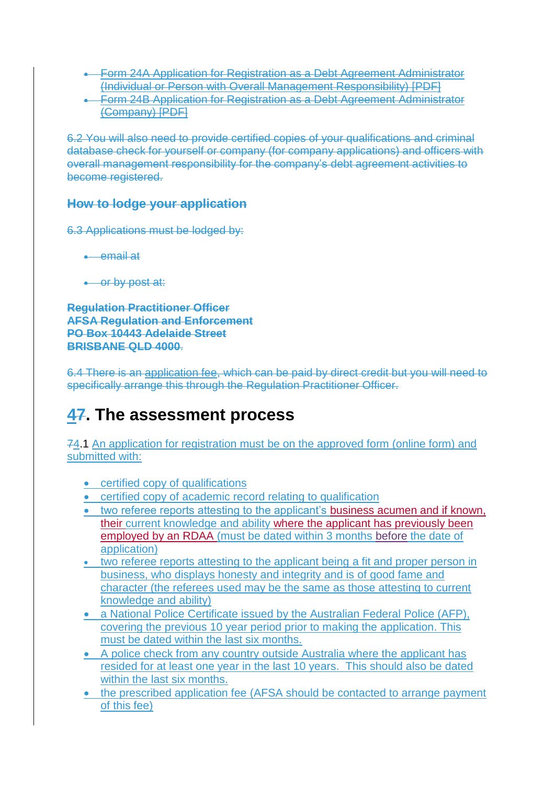- Form 24A Application for Registration as a Debt Agreement Administrator (Individual or Person with Overall Management Responsibility) [PDF]
- Form 24B Application for Registration as a Debt Agreement Administrator (Company) [PDF]

6.2 You will also need to provide certified copies of your qualifications and criminal database check for yourself or company (for company applications) and officers with overall management responsibility for the company's debt agreement activities to become registered.

### **How to lodge your application**

6.3 Applications must be lodged by:

- email at
- or by post at:

**Regulation Practitioner Officer AFSA Regulation and Enforcement PO Box 10443 Adelaide Street BRISBANE QLD 4000**.

6.4 There is an application fee, which can be paid by direct credit but you will need to specifically arrange this through the Regulation Practitioner Officer.

# **47. The assessment process**

74.1 An application for registration must be on the approved form (online form) and submitted with:

- certified copy of qualifications
- certified copy of academic record relating to qualification
- two referee reports attesting to the applicant's business acumen and if known, their current knowledge and ability where the applicant has previously been employed by an RDAA (must be dated within 3 months before the date of application)
- two referee reports attesting to the applicant being a fit and proper person in business, who displays honesty and integrity and is of good fame and character (the referees used may be the same as those attesting to current knowledge and ability)
- a National Police Certificate issued by the Australian Federal Police (AFP), covering the previous 10 year period prior to making the application. This must be dated within the last six months.
- A police check from any country outside Australia where the applicant has resided for at least one year in the last 10 years. This should also be dated within the last six months.
- the prescribed application fee (AFSA should be contacted to arrange payment of this fee)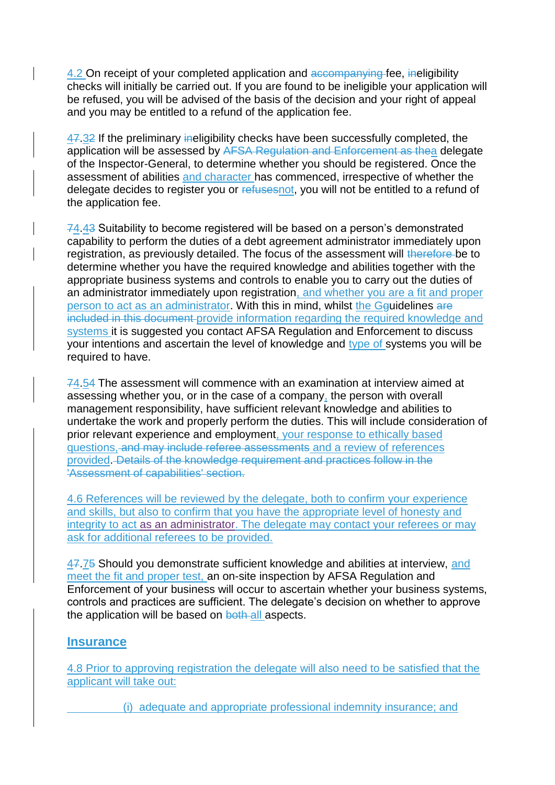4.2 On receipt of your completed application and accompanying fee, ineligibility checks will initially be carried out. If you are found to be ineligible your application will be refused, you will be advised of the basis of the decision and your right of appeal and you may be entitled to a refund of the application fee.

47.32 If the preliminary ineligibility checks have been successfully completed, the application will be assessed by AFSA Regulation and Enforcement as thea delegate of the Inspector-General, to determine whether you should be registered. Once the assessment of abilities and character has commenced, irrespective of whether the delegate decides to register you or refusesnot, you will not be entitled to a refund of the application fee.

74.43 Suitability to become registered will be based on a person's demonstrated capability to perform the duties of a debt agreement administrator immediately upon registration, as previously detailed. The focus of the assessment will therefore be to determine whether you have the required knowledge and abilities together with the appropriate business systems and controls to enable you to carry out the duties of an administrator immediately upon registration, and whether you are a fit and proper person to act as an administrator. With this in mind, whilst the Gguidelines are included in this document provide information regarding the required knowledge and systems it is suggested you contact AFSA Regulation and Enforcement to discuss your intentions and ascertain the level of knowledge and type of systems you will be required to have.

74.54 The assessment will commence with an examination at interview aimed at assessing whether you, or in the case of a company, the person with overall management responsibility, have sufficient relevant knowledge and abilities to undertake the work and properly perform the duties. This will include consideration of prior relevant experience and employment, your response to ethically based questions, and may include referee assessments and a review of references provided. Details of the knowledge requirement and practices follow in the 'Assessment of capabilities' section.

4.6 References will be reviewed by the delegate, both to confirm your experience and skills, but also to confirm that you have the appropriate level of honesty and integrity to act as an administrator. The delegate may contact your referees or may ask for additional referees to be provided.

47.75 Should you demonstrate sufficient knowledge and abilities at interview, and meet the fit and proper test, an on-site inspection by AFSA Regulation and Enforcement of your business will occur to ascertain whether your business systems, controls and practices are sufficient. The delegate's decision on whether to approve the application will be based on both all aspects.

#### **Insurance**

4.8 Prior to approving registration the delegate will also need to be satisfied that the applicant will take out:

(i) adequate and appropriate professional indemnity insurance; and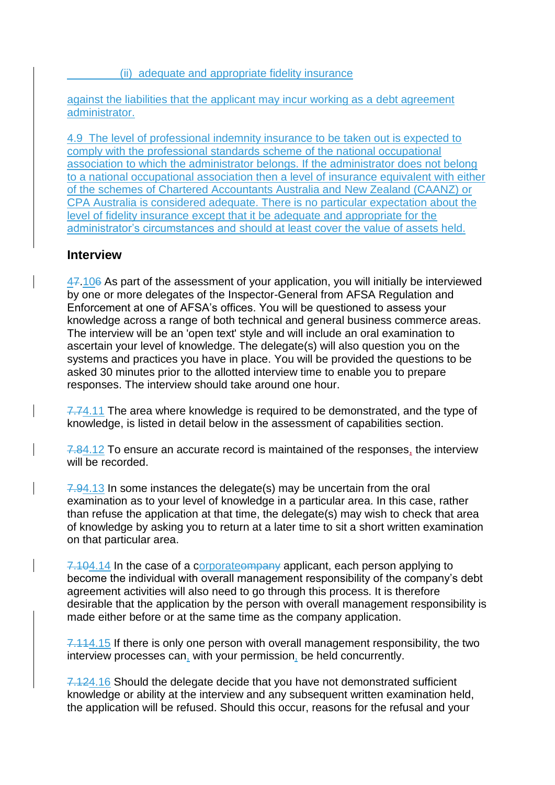(ii) adequate and appropriate fidelity insurance

against the liabilities that the applicant may incur working as a debt agreement administrator.

4.9 The level of professional indemnity insurance to be taken out is expected to comply with the professional standards scheme of the national occupational association to which the administrator belongs. If the administrator does not belong to a national occupational association then a level of insurance equivalent with either of the schemes of Chartered Accountants Australia and New Zealand (CAANZ) or CPA Australia is considered adequate. There is no particular expectation about the level of fidelity insurance except that it be adequate and appropriate for the administrator's circumstances and should at least cover the value of assets held.

#### **Interview**

47.106 As part of the assessment of your application, you will initially be interviewed by one or more delegates of the Inspector-General from AFSA Regulation and Enforcement at one of AFSA's offices. You will be questioned to assess your knowledge across a range of both technical and general business commerce areas. The interview will be an 'open text' style and will include an oral examination to ascertain your level of knowledge. The delegate(s) will also question you on the systems and practices you have in place. You will be provided the questions to be asked 30 minutes prior to the allotted interview time to enable you to prepare responses. The interview should take around one hour.

7.74.11 The area where knowledge is required to be demonstrated, and the type of knowledge, is listed in detail below in the assessment of capabilities section.

7.84.12 To ensure an accurate record is maintained of the responses, the interview will be recorded.

7.94.13 In some instances the delegate(s) may be uncertain from the oral examination as to your level of knowledge in a particular area. In this case, rather than refuse the application at that time, the delegate(s) may wish to check that area of knowledge by asking you to return at a later time to sit a short written examination on that particular area.

7.104.14 In the case of a corporate applicant, each person applying to become the individual with overall management responsibility of the company's debt agreement activities will also need to go through this process. It is therefore desirable that the application by the person with overall management responsibility is made either before or at the same time as the company application.

7.114.15 If there is only one person with overall management responsibility, the two interview processes can, with your permission, be held concurrently.

7.124.16 Should the delegate decide that you have not demonstrated sufficient knowledge or ability at the interview and any subsequent written examination held, the application will be refused. Should this occur, reasons for the refusal and your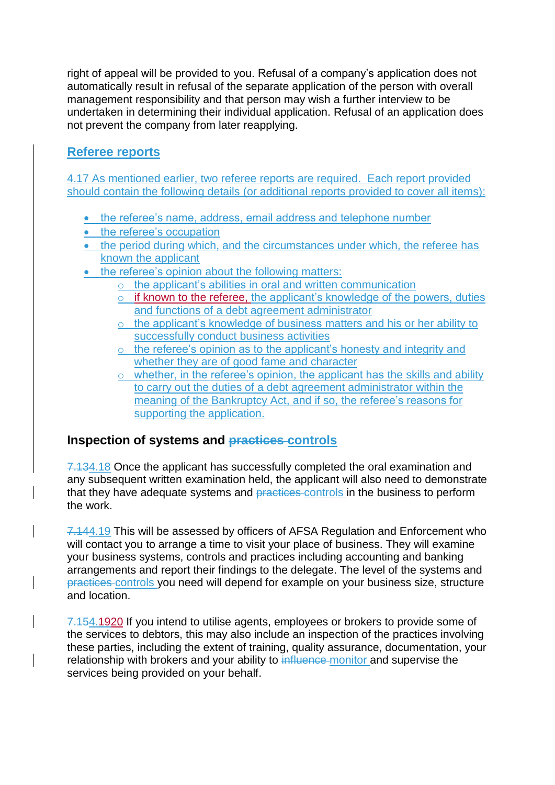right of appeal will be provided to you. Refusal of a company's application does not automatically result in refusal of the separate application of the person with overall management responsibility and that person may wish a further interview to be undertaken in determining their individual application. Refusal of an application does not prevent the company from later reapplying.

### **Referee reports**

4.17 As mentioned earlier, two referee reports are required. Each report provided should contain the following details (or additional reports provided to cover all items):

- the referee's name, address, email address and telephone number
- the referee's occupation
- the period during which, and the circumstances under which, the referee has known the applicant
- the referee's opinion about the following matters:
	- o the applicant's abilities in oral and written communication
	- o if known to the referee, the applicant's knowledge of the powers, duties and functions of a debt agreement administrator
	- o the applicant's knowledge of business matters and his or her ability to successfully conduct business activities
	- o the referee's opinion as to the applicant's honesty and integrity and whether they are of good fame and character
	- $\circ$  whether, in the referee's opinion, the applicant has the skills and ability to carry out the duties of a debt agreement administrator within the meaning of the Bankruptcy Act, and if so, the referee's reasons for supporting the application.

### **Inspection of systems and practices controls**

7.134.18 Once the applicant has successfully completed the oral examination and any subsequent written examination held, the applicant will also need to demonstrate that they have adequate systems and practices controls in the business to perform the work.

7.144.19 This will be assessed by officers of AFSA Regulation and Enforcement who will contact you to arrange a time to visit your place of business. They will examine your business systems, controls and practices including accounting and banking arrangements and report their findings to the delegate. The level of the systems and practices controls you need will depend for example on your business size, structure and location.

7.154.1920 If you intend to utilise agents, employees or brokers to provide some of the services to debtors, this may also include an inspection of the practices involving these parties, including the extent of training, quality assurance, documentation, your relationship with brokers and your ability to influence monitor and supervise the services being provided on your behalf.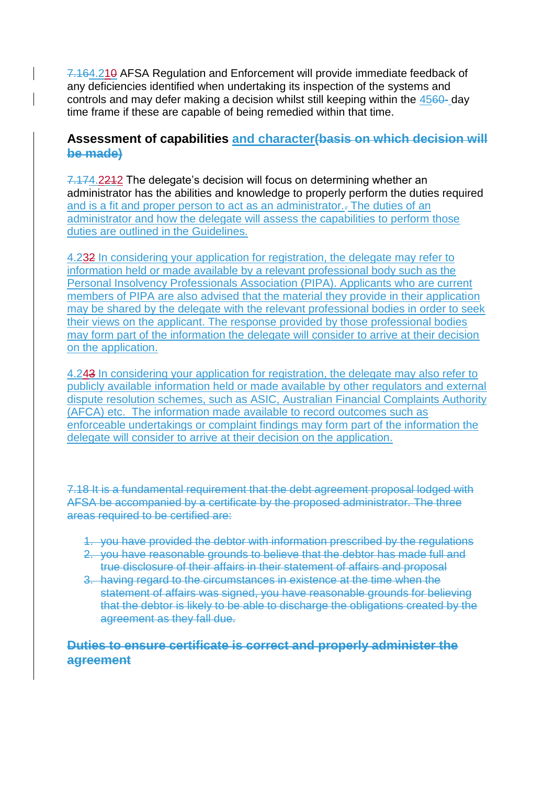7.164.210 AFSA Regulation and Enforcement will provide immediate feedback of any deficiencies identified when undertaking its inspection of the systems and controls and may defer making a decision whilst still keeping within the 4560- day time frame if these are capable of being remedied within that time.

#### **Assessment of capabilities and character(basis on which decision will be made)**

7.174.2212 The delegate's decision will focus on determining whether an administrator has the abilities and knowledge to properly perform the duties required and is a fit and proper person to act as an administrator.. The duties of an administrator and how the delegate will assess the capabilities to perform those duties are outlined in the Guidelines.

4.232 In considering your application for registration, the delegate may refer to information held or made available by a relevant professional body such as the Personal Insolvency Professionals Association (PIPA). Applicants who are current members of PIPA are also advised that the material they provide in their application may be shared by the delegate with the relevant professional bodies in order to seek their views on the applicant. The response provided by those professional bodies may form part of the information the delegate will consider to arrive at their decision on the application.

4.243 In considering your application for registration, the delegate may also refer to publicly available information held or made available by other regulators and external dispute resolution schemes, such as ASIC, Australian Financial Complaints Authority (AFCA) etc. The information made available to record outcomes such as enforceable undertakings or complaint findings may form part of the information the delegate will consider to arrive at their decision on the application.

7.18 It is a fundamental requirement that the debt agreement proposal lodged with AFSA be accompanied by a certificate by the proposed administrator. The three areas required to be certified are:

- 1. you have provided the debtor with information prescribed by the regulations
- 2. you have reasonable grounds to believe that the debtor has made full and true disclosure of their affairs in their statement of affairs and proposal
- 3. having regard to the circumstances in existence at the time when the statement of affairs was signed, you have reasonable grounds for believing that the debtor is likely to be able to discharge the obligations created by the agreement as they fall due.

### **Duties to ensure certificate is correct and properly administer the agreement**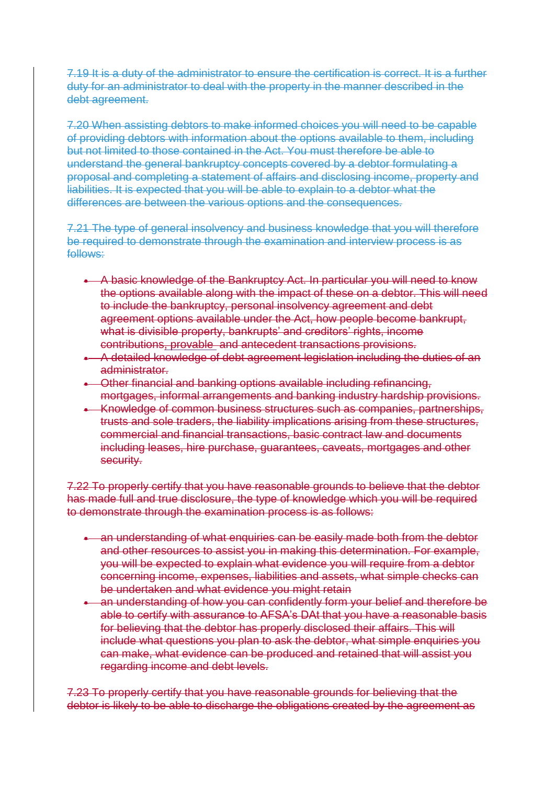7.19 It is a duty of the administrator to ensure the certification is correct. It is a further duty for an administrator to deal with the property in the manner described in the debt agreement.

7.20 When assisting debtors to make informed choices you will need to be capable of providing debtors with information about the options available to them, including but not limited to those contained in the Act. You must therefore be able to understand the general bankruptcy concepts covered by a debtor formulating a proposal and completing a statement of affairs and disclosing income, property and liabilities. It is expected that you will be able to explain to a debtor what the differences are between the various options and the consequences.

7.21 The type of general insolvency and business knowledge that you will therefore be required to demonstrate through the examination and interview process is as follows:

- A basic knowledge of the Bankruptcy Act. In particular you will need to know the options available along with the impact of these on a debtor. This will need to include the bankruptcy, personal insolvency agreement and debt agreement options available under the Act, how people become bankrupt, what is divisible property, bankrupts' and creditors' rights, income contributions, provable and antecedent transactions provisions.
- A detailed knowledge of debt agreement legislation including the duties of an administrator.
- Other financial and banking options available including refinancing, mortgages, informal arrangements and banking industry hardship provisions.
- Knowledge of common business structures such as companies, partnerships, trusts and sole traders, the liability implications arising from these structures, commercial and financial transactions, basic contract law and documents including leases, hire purchase, guarantees, caveats, mortgages and other security.

7.22 To properly certify that you have reasonable grounds to believe that the debtor has made full and true disclosure, the type of knowledge which you will be required to demonstrate through the examination process is as follows:

- **an understanding of what enquiries can be easily made both from the debtor** and other resources to assist you in making this determination. For example, you will be expected to explain what evidence you will require from a debtor concerning income, expenses, liabilities and assets, what simple checks can be undertaken and what evidence you might retain
- an understanding of how you can confidently form your belief and therefore be able to certify with assurance to AFSA's DAt that you have a reasonable basis for believing that the debtor has properly disclosed their affairs. This will include what questions you plan to ask the debtor, what simple enquiries you can make, what evidence can be produced and retained that will assist you regarding income and debt levels.

7.23 To properly certify that you have reasonable grounds for believing that the debtor is likely to be able to discharge the obligations created by the agreement as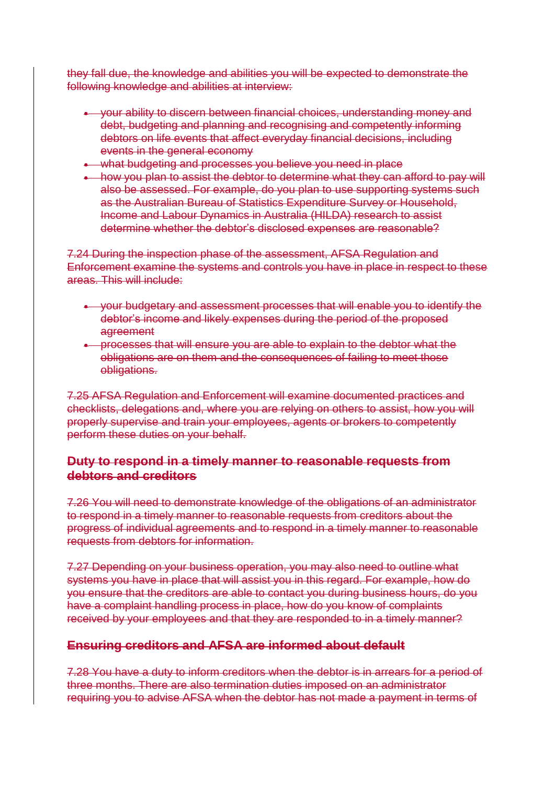they fall due, the knowledge and abilities you will be expected to demonstrate the following knowledge and abilities at interview:

- your ability to discern between financial choices, understanding money and debt, budgeting and planning and recognising and competently informing debtors on life events that affect everyday financial decisions, including events in the general economy
- what budgeting and processes you believe you need in place
- how you plan to assist the debtor to determine what they can afford to pay will also be assessed. For example, do you plan to use supporting systems such as the Australian Bureau of Statistics Expenditure Survey or Household, Income and Labour Dynamics in Australia (HILDA) research to assist determine whether the debtor's disclosed expenses are reasonable?

7.24 During the inspection phase of the assessment, AFSA Regulation and Enforcement examine the systems and controls you have in place in respect to these areas. This will include:

- your budgetary and assessment processes that will enable you to identify the debtor's income and likely expenses during the period of the proposed agreement
- **•** processes that will ensure you are able to explain to the debtor what the obligations are on them and the consequences of failing to meet those obligations.

7.25 AFSA Regulation and Enforcement will examine documented practices and checklists, delegations and, where you are relying on others to assist, how you will properly supervise and train your employees, agents or brokers to competently perform these duties on your behalf.

#### **Duty to respond in a timely manner to reasonable requests from debtors and creditors**

7.26 You will need to demonstrate knowledge of the obligations of an administrator to respond in a timely manner to reasonable requests from creditors about the progress of individual agreements and to respond in a timely manner to reasonable requests from debtors for information.

7.27 Depending on your business operation, you may also need to outline what systems you have in place that will assist you in this regard. For example, how do you ensure that the creditors are able to contact you during business hours, do you have a complaint handling process in place, how do you know of complaints received by your employees and that they are responded to in a timely manner?

### **Ensuring creditors and AFSA are informed about default**

7.28 You have a duty to inform creditors when the debtor is in arrears for a period of three months. There are also termination duties imposed on an administrator requiring you to advise AFSA when the debtor has not made a payment in terms of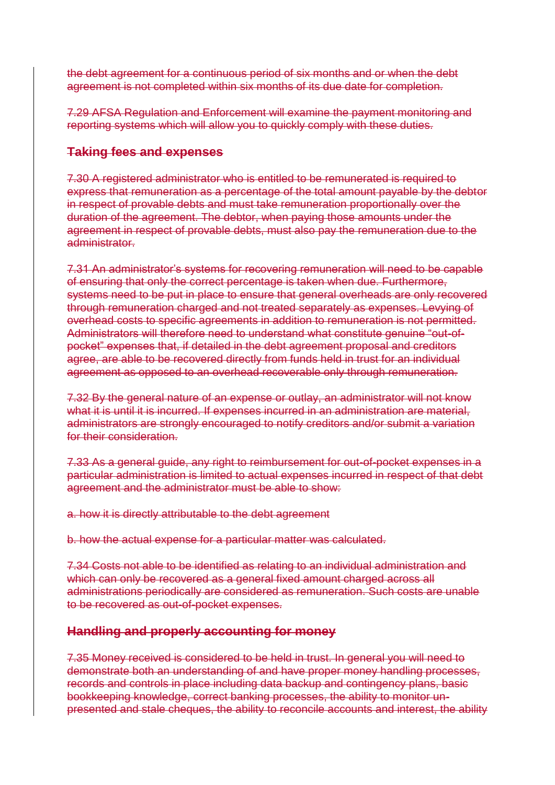the debt agreement for a continuous period of six months and or when the debt agreement is not completed within six months of its due date for completion.

7.29 AFSA Regulation and Enforcement will examine the payment monitoring and reporting systems which will allow you to quickly comply with these duties.

#### **Taking fees and expenses**

7.30 A registered administrator who is entitled to be remunerated is required to express that remuneration as a percentage of the total amount payable by the debtor in respect of provable debts and must take remuneration proportionally over the duration of the agreement. The debtor, when paying those amounts under the agreement in respect of provable debts, must also pay the remuneration due to the administrator.

7.31 An administrator's systems for recovering remuneration will need to be capable of ensuring that only the correct percentage is taken when due. Furthermore, systems need to be put in place to ensure that general overheads are only recovered through remuneration charged and not treated separately as expenses. Levying of overhead costs to specific agreements in addition to remuneration is not permitted. Administrators will therefore need to understand what constitute genuine "out-ofpocket" expenses that, if detailed in the debt agreement proposal and creditors agree, are able to be recovered directly from funds held in trust for an individual agreement as opposed to an overhead recoverable only through remuneration.

7.32 By the general nature of an expense or outlay, an administrator will not know what it is until it is incurred. If expenses incurred in an administration are material, administrators are strongly encouraged to notify creditors and/or submit a variation for their consideration.

7.33 As a general guide, any right to reimbursement for out-of-pocket expenses in a particular administration is limited to actual expenses incurred in respect of that debt agreement and the administrator must be able to show:

a. how it is directly attributable to the debt agreement

b. how the actual expense for a particular matter was calculated.

7.34 Costs not able to be identified as relating to an individual administration and which can only be recovered as a general fixed amount charged across all administrations periodically are considered as remuneration. Such costs are unable to be recovered as out-of-pocket expenses.

### **Handling and properly accounting for money**

7.35 Money received is considered to be held in trust. In general you will need to demonstrate both an understanding of and have proper money handling processes, records and controls in place including data backup and contingency plans, basic bookkeeping knowledge, correct banking processes, the ability to monitor unpresented and stale cheques, the ability to reconcile accounts and interest, the ability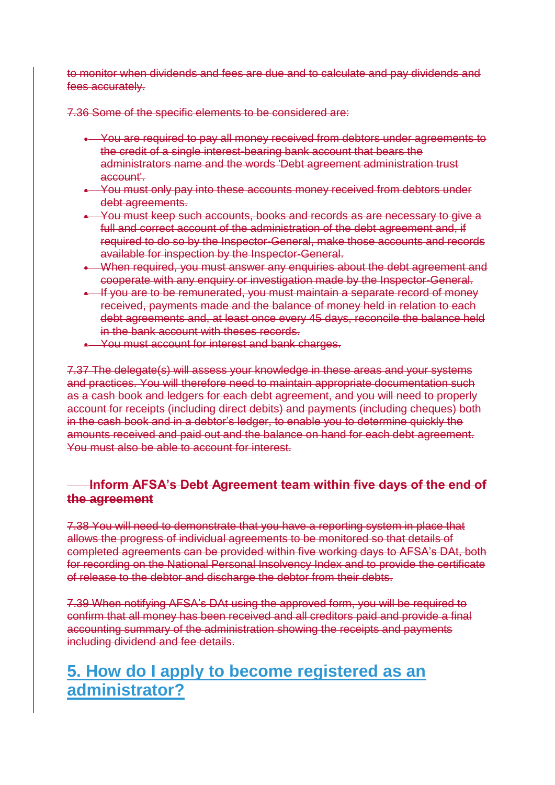to monitor when dividends and fees are due and to calculate and pay dividends and fees accurately.

7.36 Some of the specific elements to be considered are:

- You are required to pay all money received from debtors under agreements to the credit of a single interest-bearing bank account that bears the administrators name and the words 'Debt agreement administration trust account'.
- You must only pay into these accounts money received from debtors under debt agreements.
- You must keep such accounts, books and records as are necessary to give a full and correct account of the administration of the debt agreement and, if required to do so by the Inspector-General, make those accounts and records available for inspection by the Inspector-General.
- . When required, you must answer any enquiries about the debt agreement and cooperate with any enquiry or investigation made by the Inspector-General.
- If you are to be remunerated, you must maintain a separate record of money received, payments made and the balance of money held in relation to each debt agreements and, at least once every 45 days, reconcile the balance held in the bank account with theses records.
- You must account for interest and bank charges.

7.37 The delegate(s) will assess your knowledge in these areas and your systems and practices. You will therefore need to maintain appropriate documentation such as a cash book and ledgers for each debt agreement, and you will need to properly account for receipts (including direct debits) and payments (including cheques) both in the cash book and in a debtor's ledger, to enable you to determine quickly the amounts received and paid out and the balance on hand for each debt agreement. You must also be able to account for interest.

### **Inform AFSA's Debt Agreement team within five days of the end of the agreement**

7.38 You will need to demonstrate that you have a reporting system in place that allows the progress of individual agreements to be monitored so that details of completed agreements can be provided within five working days to AFSA's DAt, both for recording on the National Personal Insolvency Index and to provide the certificate of release to the debtor and discharge the debtor from their debts.

7.39 When notifying AFSA's DAt using the approved form, you will be required to confirm that all money has been received and all creditors paid and provide a final accounting summary of the administration showing the receipts and payments including dividend and fee details.

## **5. How do I apply to become registered as an administrator?**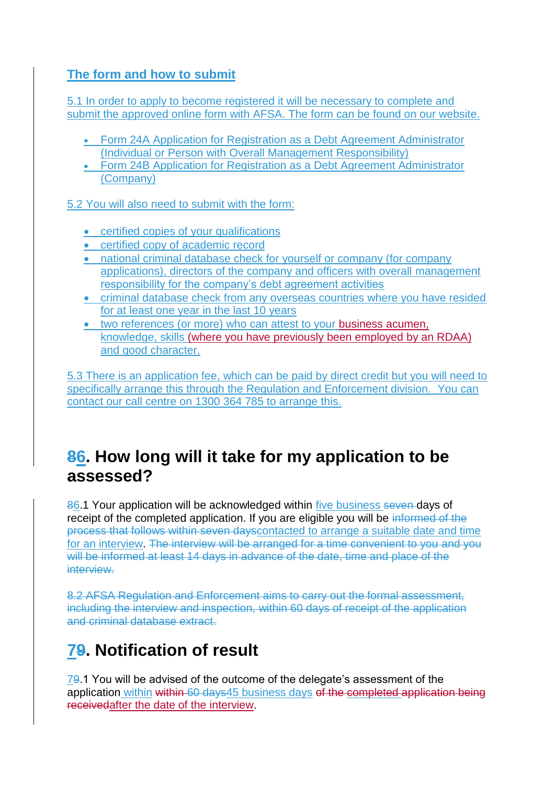### **The form and how to submit**

5.1 In order to apply to become registered it will be necessary to complete and submit the approved online form with AFSA. The form can be found on our website.

- Form 24A Application for Registration as a Debt Agreement Administrator (Individual or Person with Overall Management Responsibility)
- [Form 24B Application for Registration as a Debt Agreement Administrator](file://///vwBNEFP01/node/3201)  [\(Company\)](file://///vwBNEFP01/node/3201)

5.2 You will also need to submit with the form:

- certified copies of your qualifications
- certified copy of academic record
- national criminal database check for yourself or company (for company applications), directors of the company and officers with overall management responsibility for the company's debt agreement activities
- criminal database check from any overseas countries where you have resided for at least one year in the last 10 years
- two references (or more) who can attest to your business acumen, knowledge, skills (where you have previously been employed by an RDAA) and good character.

5.3 There is an [application fee,](file://///vwBNEFP01/node/3421) which can be paid by direct credit but you will need to specifically arrange this through the Regulation and Enforcement division. You can contact our call centre on 1300 364 785 to arrange this.

## **86. How long will it take for my application to be assessed?**

86.1 Your application will be acknowledged within five business seven days of receipt of the completed application. If you are eligible you will be informed of the process that follows within seven dayscontacted to arrange a suitable date and time for an interview. The interview will be arranged for a time convenient to you and you will be informed at least 14 days in advance of the date, time and place of the interview.

8.2 AFSA Regulation and Enforcement aims to carry out the formal assessment, including the interview and inspection, within 60 days of receipt of the application and criminal database extract.

# **79. Notification of result**

79.1 You will be advised of the outcome of the delegate's assessment of the application within within 60 days45 business days of the completed application being receivedafter the date of the interview.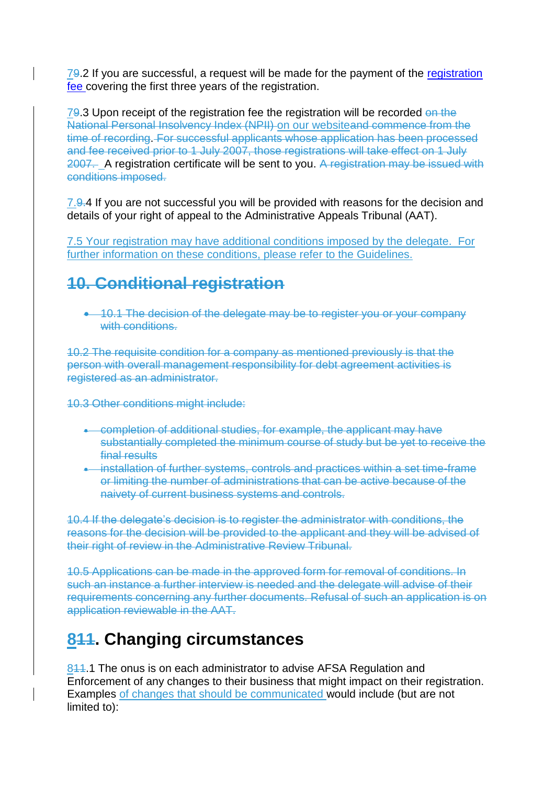79.2 If you are successful, a request will be made for the payment of the registration [fee c](file://///vwBNEFP01/node/3421)overing the first three years of the registration.

79.3 Upon receipt of the registration fee the registration will be recorded on the National Personal Insolvency Index (NPII) on our websiteand commence from the time of recording. For successful applicants whose application has been processed and fee received prior to 1 July 2007, those registrations will take effect on 1 July 2007. A registration certificate will be sent to you. A registration may be issued with conditions imposed.

7.9.4 If you are not successful you will be provided with reasons for the decision and details of your right of appeal to the Administrative Appeals Tribunal (AAT).

7.5 Your registration may have additional conditions imposed by the delegate. For further information on these conditions, please refer to the Guidelines.

# **10. Conditional registration**

 10.1 The decision of the delegate may be to register you or your company with conditions.

10.2 The requisite condition for a company as mentioned previously is that the person with overall management responsibility for debt agreement activities is registered as an administrator.

10.3 Other conditions might include:

- completion of additional studies, for example, the applicant may have substantially completed the minimum course of study but be yet to receive the final results
- installation of further systems, controls and practices within a set time-frame or limiting the number of administrations that can be active because of the naivety of current business systems and controls.

10.4 If the delegate's decision is to register the administrator with conditions, the reasons for the decision will be provided to the applicant and they will be advised of their right of review in the Administrative Review Tribunal.

10.5 Applications can be made in the approved form for removal of conditions. In such an instance a further interview is needed and the delegate will advise of their requirements concerning any further documents. Refusal of such an application is on application reviewable in the AAT.

# **811. Changing circumstances**

844.1 The onus is on each administrator to advise AFSA Regulation and Enforcement of any changes to their business that might impact on their registration. Examples of changes that should be communicated would include (but are not limited to):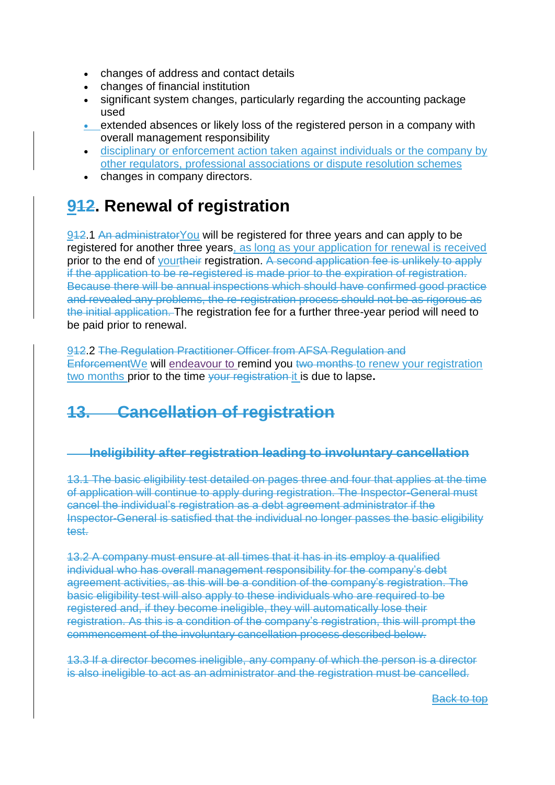- changes of address and contact details
- changes of financial institution
- significant system changes, particularly regarding the accounting package used
- extended absences or likely loss of the registered person in a company with overall management responsibility
- disciplinary or enforcement action taken against individuals or the company by other regulators, professional associations or dispute resolution schemes
- changes in company directors.

# **912. Renewal of registration**

912.1 An administrator You will be registered for three years and can apply to be registered for another three years, as long as your application for renewal is received prior to the end of yourtheir registration. A second application fee is unlikely to apply if the application to be re-registered is made prior to the expiration of registration. Because there will be annual inspections which should have confirmed good practice and revealed any problems, the re-registration process should not be as rigorous as the initial application. The registration fee for a further three-year period will need to be paid prior to renewal.

912.2 The Regulation Practitioner Officer from AFSA Regulation and Enforcement We will endeavour to remind you two months to renew your registration two months prior to the time your registration it is due to lapse**.** 

# **13. Cancellation of registration**

### **Ineligibility after registration leading to involuntary cancellation**

13.1 The basic eligibility test detailed on pages three and four that applies at the time of application will continue to apply during registration. The Inspector-General must cancel the individual's registration as a debt agreement administrator if the Inspector-General is satisfied that the individual no longer passes the basic eligibility test.

13.2 A company must ensure at all times that it has in its employ a qualified individual who has overall management responsibility for the company's debt agreement activities, as this will be a condition of the company's registration. The basic eligibility test will also apply to these individuals who are required to be registered and, if they become ineligible, they will automatically lose their registration. As this is a condition of the company's registration, this will prompt the commencement of the involuntary cancellation process described below.

13.3 If a director becomes ineligible, any company of which the person is a director is also ineligible to act as an administrator and the registration must be cancelled.

**Back to top**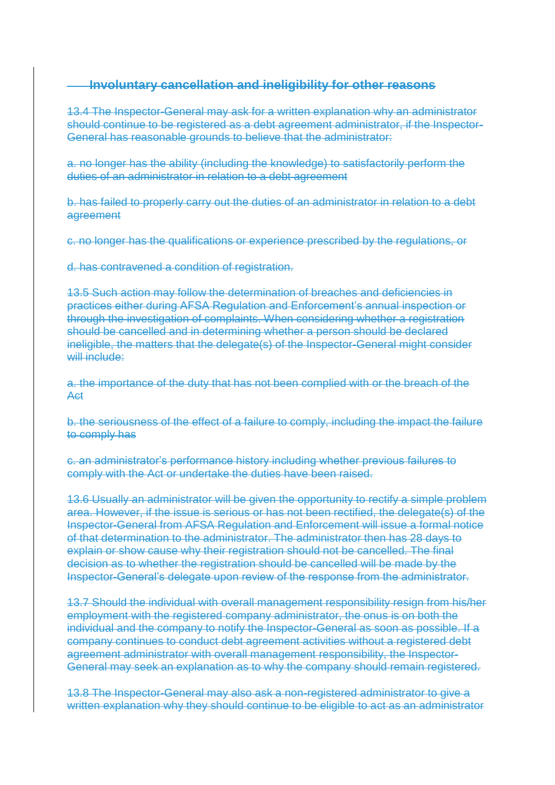#### **Involuntary cancellation and ineligibility for other reasons**

13.4 The Inspector-General may ask for a written explanation why an administrator should continue to be registered as a debt agreement administrator, if the Inspector-General has reasonable grounds to believe that the administrator:

a. no longer has the ability (including the knowledge) to satisfactorily perform the duties of an administrator in relation to a debt agreement

b. has failed to properly carry out the duties of an administrator in relation to a debt agreement

c. no longer has the qualifications or experience prescribed by the regulations, or

d. has contravened a condition of registration.

13.5 Such action may follow the determination of breaches and deficiencies in practices either during AFSA Regulation and Enforcement's annual inspection or through the investigation of complaints. When considering whether a registration should be cancelled and in determining whether a person should be declared ineligible, the matters that the delegate(s) of the Inspector-General might consider will include:

a. the importance of the duty that has not been complied with or the breach of the Act

b. the seriousness of the effect of a failure to comply, including the impact the failure to comply has

c. an administrator's performance history including whether previous failures to comply with the Act or undertake the duties have been raised.

13.6 Usually an administrator will be given the opportunity to rectify a simple problem area. However, if the issue is serious or has not been rectified, the delegate(s) of the Inspector-General from AFSA Regulation and Enforcement will issue a formal notice of that determination to the administrator. The administrator then has 28 days to explain or show cause why their registration should not be cancelled. The final decision as to whether the registration should be cancelled will be made by the Inspector-General's delegate upon review of the response from the administrator.

13.7 Should the individual with overall management responsibility resign from his/her employment with the registered company administrator, the onus is on both the individual and the company to notify the Inspector-General as soon as possible. If a company continues to conduct debt agreement activities without a registered debt agreement administrator with overall management responsibility, the Inspector-General may seek an explanation as to why the company should remain registered.

13.8 The Inspector-General may also ask a non-registered administrator to give a written explanation why they should continue to be eligible to act as an administrator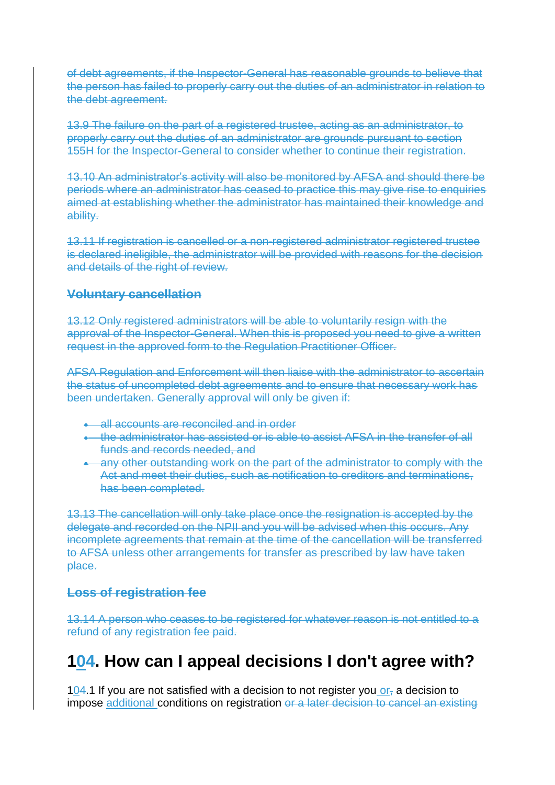of debt agreements, if the Inspector-General has reasonable grounds to believe that the person has failed to properly carry out the duties of an administrator in relation to the debt agreement.

13.9 The failure on the part of a registered trustee, acting as an administrator, to properly carry out the duties of an administrator are grounds pursuant to section 155H for the Inspector-General to consider whether to continue their registration.

13.10 An administrator's activity will also be monitored by AFSA and should there be periods where an administrator has ceased to practice this may give rise to enquiries aimed at establishing whether the administrator has maintained their knowledge and ability.

13.11 If registration is cancelled or a non-registered administrator registered trustee is declared ineligible, the administrator will be provided with reasons for the decision and details of the right of review.

#### **Voluntary cancellation**

13.12 Only registered administrators will be able to voluntarily resign with the approval of the Inspector-General. When this is proposed you need to give a written request in the approved form to the Regulation Practitioner Officer.

AFSA Regulation and Enforcement will then liaise with the administrator to ascertain the status of uncompleted debt agreements and to ensure that necessary work has been undertaken. Generally approval will only be given if:

- all accounts are reconciled and in order
- the administrator has assisted or is able to assist AFSA in the transfer of all funds and records needed, and
- **Any other outstanding work on the part of the administrator to comply with the** Act and meet their duties, such as notification to creditors and terminations, has been completed.

13.13 The cancellation will only take place once the resignation is accepted by the delegate and recorded on the NPII and you will be advised when this occurs. Any incomplete agreements that remain at the time of the cancellation will be transferred to AFSA unless other arrangements for transfer as prescribed by law have taken place.

#### **Loss of registration fee**

13.14 A person who ceases to be registered for whatever reason is not entitled to a refund of any registration fee paid.

## **104. How can I appeal decisions I don't agree with?**

 $104.1$  If you are not satisfied with a decision to not register you  $or<sub>z</sub>$  a decision to impose additional conditions on registration or a later decision to cancel an existing